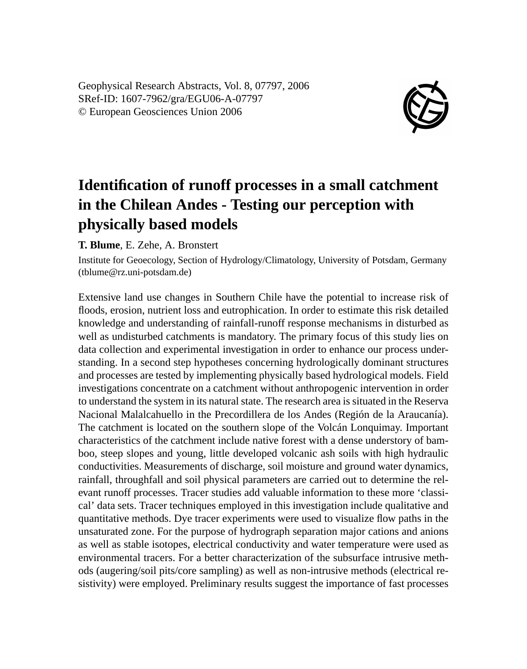Geophysical Research Abstracts, Vol. 8, 07797, 2006 SRef-ID: 1607-7962/gra/EGU06-A-07797 © European Geosciences Union 2006



## **Identification of runoff processes in a small catchment in the Chilean Andes - Testing our perception with physically based models**

**T. Blume**, E. Zehe, A. Bronstert

Institute for Geoecology, Section of Hydrology/Climatology, University of Potsdam, Germany (tblume@rz.uni-potsdam.de)

Extensive land use changes in Southern Chile have the potential to increase risk of floods, erosion, nutrient loss and eutrophication. In order to estimate this risk detailed knowledge and understanding of rainfall-runoff response mechanisms in disturbed as well as undisturbed catchments is mandatory. The primary focus of this study lies on data collection and experimental investigation in order to enhance our process understanding. In a second step hypotheses concerning hydrologically dominant structures and processes are tested by implementing physically based hydrological models. Field investigations concentrate on a catchment without anthropogenic intervention in order to understand the system in its natural state. The research area is situated in the Reserva Nacional Malalcahuello in the Precordillera de los Andes (Región de la Araucanía). The catchment is located on the southern slope of the Volcán Lonquimay. Important characteristics of the catchment include native forest with a dense understory of bamboo, steep slopes and young, little developed volcanic ash soils with high hydraulic conductivities. Measurements of discharge, soil moisture and ground water dynamics, rainfall, throughfall and soil physical parameters are carried out to determine the relevant runoff processes. Tracer studies add valuable information to these more 'classical' data sets. Tracer techniques employed in this investigation include qualitative and quantitative methods. Dye tracer experiments were used to visualize flow paths in the unsaturated zone. For the purpose of hydrograph separation major cations and anions as well as stable isotopes, electrical conductivity and water temperature were used as environmental tracers. For a better characterization of the subsurface intrusive methods (augering/soil pits/core sampling) as well as non-intrusive methods (electrical resistivity) were employed. Preliminary results suggest the importance of fast processes